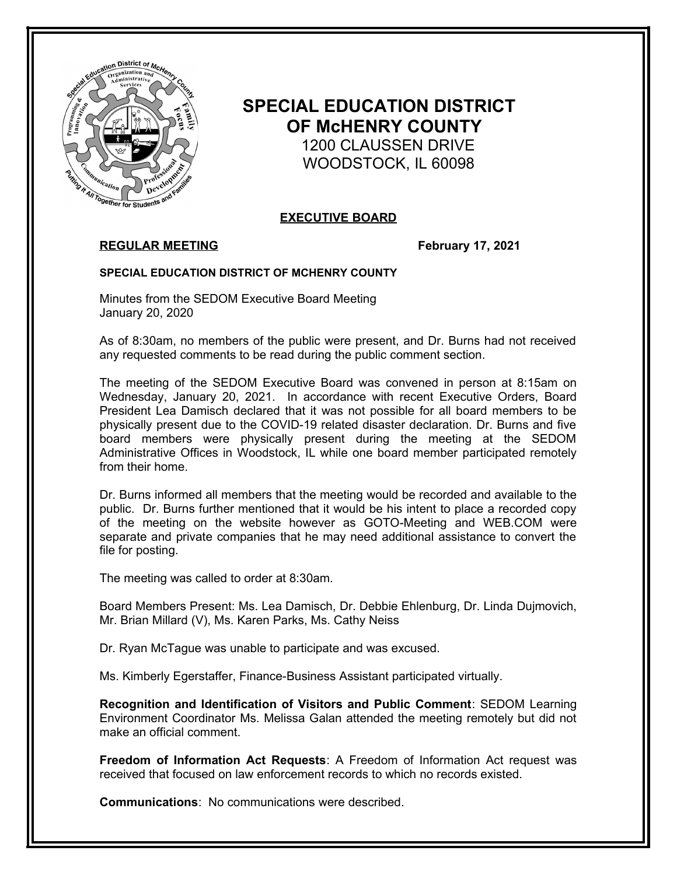

# **SPECIAL EDUCATION DISTRICT OF McHENRY COUNTY** 1200 CLAUSSEN DRIVE WOODSTOCK, IL 60098

# **EXECUTIVE BOARD**

## **REGULAR MEETING February 17, 2021**

#### **SPECIAL EDUCATION DISTRICT OF MCHENRY COUNTY**

Minutes from the SEDOM Executive Board Meeting January 20, 2020

As of 8:30am, no members of the public were present, and Dr. Burns had not received any requested comments to be read during the public comment section.

The meeting of the SEDOM Executive Board was convened in person at 8:15am on Wednesday, January 20, 2021. In accordance with recent Executive Orders, Board President Lea Damisch declared that it was not possible for all board members to be physically present due to the COVID-19 related disaster declaration. Dr. Burns and five board members were physically present during the meeting at the SEDOM Administrative Offices in Woodstock, IL while one board member participated remotely from their home.

Dr. Burns informed all members that the meeting would be recorded and available to the public. Dr. Burns further mentioned that it would be his intent to place a recorded copy of the meeting on the website however as GOTO-Meeting and WEB.COM were separate and private companies that he may need additional assistance to convert the file for posting.

The meeting was called to order at 8:30am.

Board Members Present: Ms. Lea Damisch, Dr. Debbie Ehlenburg, Dr. Linda Dujmovich, Mr. Brian Millard (V), Ms. Karen Parks, Ms. Cathy Neiss

Dr. Ryan McTague was unable to participate and was excused.

Ms. Kimberly Egerstaffer, Finance-Business Assistant participated virtually.

**Recognition and Identification of Visitors and Public Comment**: SEDOM Learning Environment Coordinator Ms. Melissa Galan attended the meeting remotely but did not make an official comment.

**Freedom of Information Act Requests**: A Freedom of Information Act request was received that focused on law enforcement records to which no records existed.

**Communications**: No communications were described.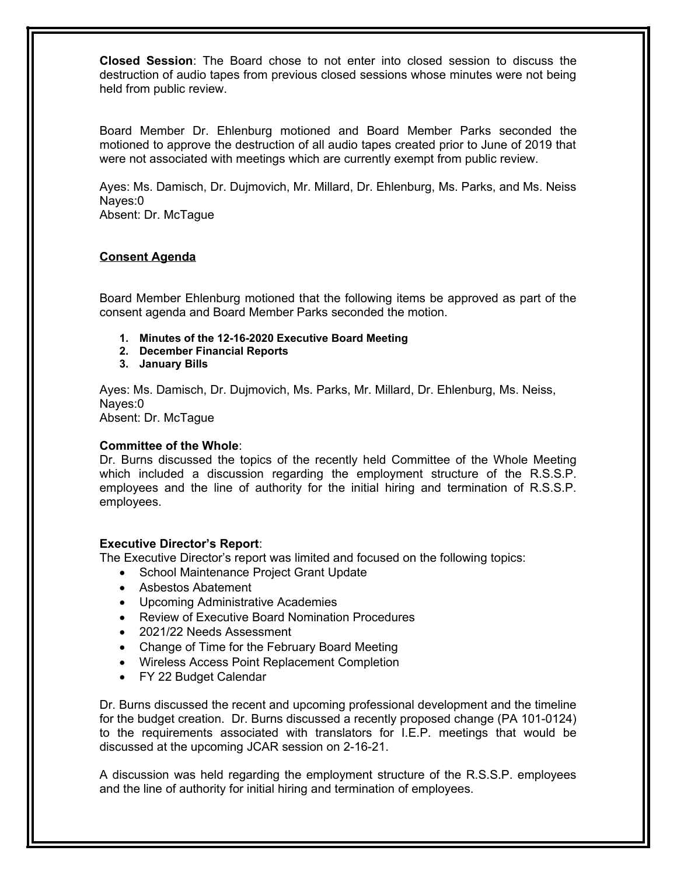**Closed Session**: The Board chose to not enter into closed session to discuss the destruction of audio tapes from previous closed sessions whose minutes were not being held from public review.

Board Member Dr. Ehlenburg motioned and Board Member Parks seconded the motioned to approve the destruction of all audio tapes created prior to June of 2019 that were not associated with meetings which are currently exempt from public review.

Ayes: Ms. Damisch, Dr. Dujmovich, Mr. Millard, Dr. Ehlenburg, Ms. Parks, and Ms. Neiss Nayes:0 Absent: Dr. McTague

# **Consent Agenda**

Board Member Ehlenburg motioned that the following items be approved as part of the consent agenda and Board Member Parks seconded the motion.

- **1. Minutes of the 12-16-2020 Executive Board Meeting**
- **2. December Financial Reports**
- **3. January Bills**

Ayes: Ms. Damisch, Dr. Dujmovich, Ms. Parks, Mr. Millard, Dr. Ehlenburg, Ms. Neiss, Nayes:0 Absent: Dr. McTague

### **Committee of the Whole**:

Dr. Burns discussed the topics of the recently held Committee of the Whole Meeting which included a discussion regarding the employment structure of the R.S.S.P. employees and the line of authority for the initial hiring and termination of R.S.S.P. employees.

### **Executive Director's Report**:

The Executive Director's report was limited and focused on the following topics:

- School Maintenance Project Grant Update
- Asbestos Abatement
- Upcoming Administrative Academies
- Review of Executive Board Nomination Procedures
- 2021/22 Needs Assessment
- Change of Time for the February Board Meeting
- Wireless Access Point Replacement Completion
- FY 22 Budget Calendar

Dr. Burns discussed the recent and upcoming professional development and the timeline for the budget creation. Dr. Burns discussed a recently proposed change (PA 101-0124) to the requirements associated with translators for I.E.P. meetings that would be discussed at the upcoming JCAR session on 2-16-21.

A discussion was held regarding the employment structure of the R.S.S.P. employees and the line of authority for initial hiring and termination of employees.